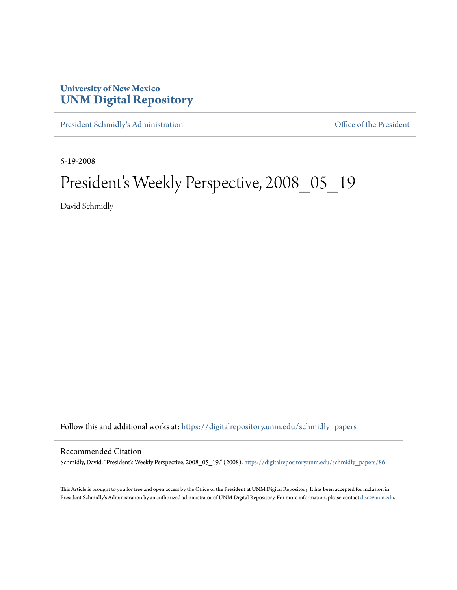## **University of New Mexico [UNM Digital Repository](https://digitalrepository.unm.edu?utm_source=digitalrepository.unm.edu%2Fschmidly_papers%2F86&utm_medium=PDF&utm_campaign=PDFCoverPages)**

[President Schmidly's Administration](https://digitalrepository.unm.edu/schmidly_papers?utm_source=digitalrepository.unm.edu%2Fschmidly_papers%2F86&utm_medium=PDF&utm_campaign=PDFCoverPages) [Office of the President](https://digitalrepository.unm.edu/ofc_president?utm_source=digitalrepository.unm.edu%2Fschmidly_papers%2F86&utm_medium=PDF&utm_campaign=PDFCoverPages)

5-19-2008

## President's Weekly Perspective, 2008\_05\_19

David Schmidly

Follow this and additional works at: [https://digitalrepository.unm.edu/schmidly\\_papers](https://digitalrepository.unm.edu/schmidly_papers?utm_source=digitalrepository.unm.edu%2Fschmidly_papers%2F86&utm_medium=PDF&utm_campaign=PDFCoverPages)

## Recommended Citation

Schmidly, David. "President's Weekly Perspective, 2008\_05\_19." (2008). [https://digitalrepository.unm.edu/schmidly\\_papers/86](https://digitalrepository.unm.edu/schmidly_papers/86?utm_source=digitalrepository.unm.edu%2Fschmidly_papers%2F86&utm_medium=PDF&utm_campaign=PDFCoverPages)

This Article is brought to you for free and open access by the Office of the President at UNM Digital Repository. It has been accepted for inclusion in President Schmidly's Administration by an authorized administrator of UNM Digital Repository. For more information, please contact [disc@unm.edu](mailto:disc@unm.edu).